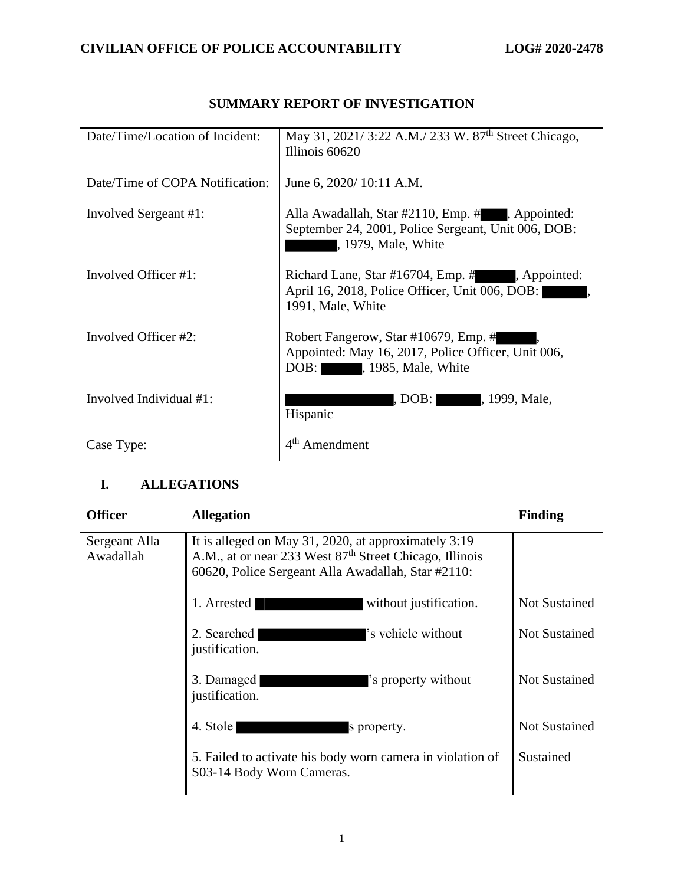| Date/Time/Location of Incident: | May 31, 2021/3:22 A.M./233 W. 87 <sup>th</sup> Street Chicago,<br>Illinois 60620                                             |
|---------------------------------|------------------------------------------------------------------------------------------------------------------------------|
| Date/Time of COPA Notification: | June 6, 2020/10:11 A.M.                                                                                                      |
| Involved Sergeant #1:           | Alla Awadallah, Star #2110, Emp. #, Appointed:<br>September 24, 2001, Police Sergeant, Unit 006, DOB:<br>, 1979, Male, White |
| Involved Officer #1:            | Richard Lane, Star #16704, Emp. #, Appointed:<br>April 16, 2018, Police Officer, Unit 006, DOB:<br>1991, Male, White         |
| Involved Officer #2:            | Robert Fangerow, Star #10679, Emp. #<br>Appointed: May 16, 2017, Police Officer, Unit 006,<br>DOB: , 1985, Male, White       |
| Involved Individual #1:         | , DOB: , 1999, Male,<br>Hispanic                                                                                             |
| Case Type:                      | Amendment                                                                                                                    |

## **SUMMARY REPORT OF INVESTIGATION**

# **I. ALLEGATIONS**

| <b>Officer</b>             | <b>Allegation</b>                                                                                                                                                                 | <b>Finding</b>       |
|----------------------------|-----------------------------------------------------------------------------------------------------------------------------------------------------------------------------------|----------------------|
| Sergeant Alla<br>Awadallah | It is alleged on May 31, 2020, at approximately 3:19<br>A.M., at or near 233 West 87 <sup>th</sup> Street Chicago, Illinois<br>60620, Police Sergeant Alla Awadallah, Star #2110: |                      |
|                            | 1. Arrested<br>without justification.                                                                                                                                             | <b>Not Sustained</b> |
|                            | 's vehicle without<br>2. Searched<br>justification.                                                                                                                               | <b>Not Sustained</b> |
|                            | 3. Damaged<br>'s property without<br>justification.                                                                                                                               | <b>Not Sustained</b> |
|                            | 4. Stole<br>s property.                                                                                                                                                           | <b>Not Sustained</b> |
|                            | 5. Failed to activate his body worn camera in violation of<br>S03-14 Body Worn Cameras.                                                                                           | Sustained            |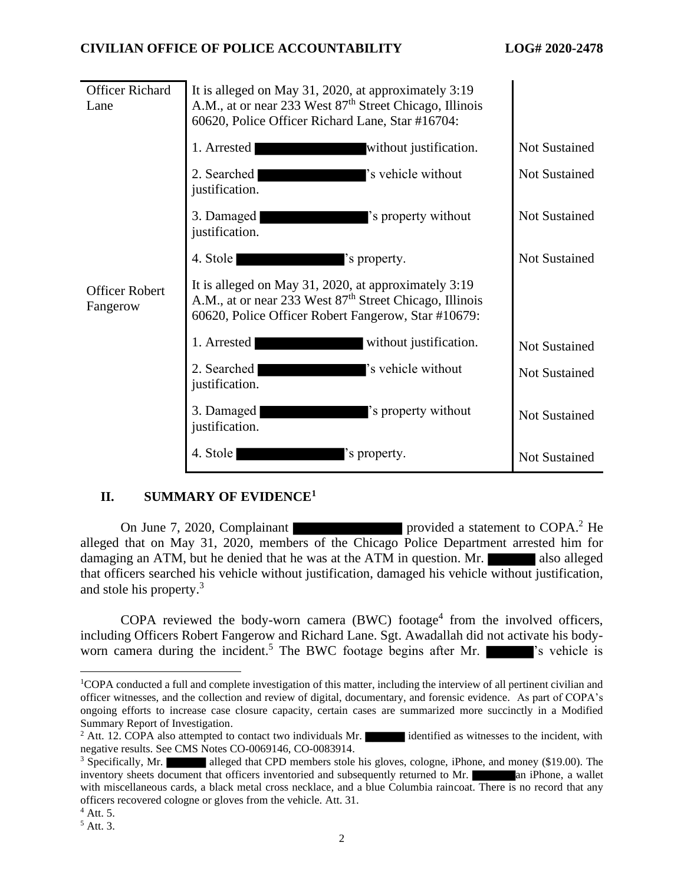## **CIVILIAN OFFICE OF POLICE ACCOUNTABILITY LOG# 2020-2478**

| <b>Officer Richard</b><br>Lane    | It is alleged on May 31, 2020, at approximately 3:19<br>A.M., at or near 233 West 87 <sup>th</sup> Street Chicago, Illinois<br>60620, Police Officer Richard Lane, Star #16704:    |                      |
|-----------------------------------|------------------------------------------------------------------------------------------------------------------------------------------------------------------------------------|----------------------|
|                                   | 1. Arrested<br>without justification.                                                                                                                                              | Not Sustained        |
|                                   | 's vehicle without<br>2. Searched<br>justification.                                                                                                                                | <b>Not Sustained</b> |
|                                   | 3. Damaged<br>'s property without<br>justification.                                                                                                                                | <b>Not Sustained</b> |
|                                   | 4. Stole<br>'s property.                                                                                                                                                           | <b>Not Sustained</b> |
| <b>Officer Robert</b><br>Fangerow | It is alleged on May 31, 2020, at approximately 3:19<br>A.M., at or near 233 West 87 <sup>th</sup> Street Chicago, Illinois<br>60620, Police Officer Robert Fangerow, Star #10679: |                      |
|                                   | 1. Arrested<br>without justification.                                                                                                                                              | <b>Not Sustained</b> |
|                                   | 's vehicle without<br>2. Searched<br>justification.                                                                                                                                | <b>Not Sustained</b> |
|                                   | 3. Damaged<br>'s property without<br>justification.                                                                                                                                | <b>Not Sustained</b> |
|                                   | 4. Stole<br>'s property.                                                                                                                                                           | Not Sustained        |

## **II. SUMMARY OF EVIDENCE<sup>1</sup>**

On June 7, 2020, Complainant provided a statement to COPA.<sup>2</sup> He alleged that on May 31, 2020, members of the Chicago Police Department arrested him for damaging an ATM, but he denied that he was at the ATM in question. Mr. also alleged that officers searched his vehicle without justification, damaged his vehicle without justification, and stole his property.<sup>3</sup>

COPA reviewed the body-worn camera  $(BWC)$  footage<sup>4</sup> from the involved officers, including Officers Robert Fangerow and Richard Lane. Sgt. Awadallah did not activate his bodyworn camera during the incident.<sup>5</sup> The BWC footage begins after Mr.  $\blacksquare$  's vehicle is

<sup>1</sup>COPA conducted a full and complete investigation of this matter, including the interview of all pertinent civilian and officer witnesses, and the collection and review of digital, documentary, and forensic evidence. As part of COPA's ongoing efforts to increase case closure capacity, certain cases are summarized more succinctly in a Modified Summary Report of Investigation.

<sup>&</sup>lt;sup>2</sup> Att. 12. COPA also attempted to contact two individuals Mr. identified as witnesses to the incident, with negative results. See CMS Notes CO-0069146, CO-0083914.

 $3$  Specifically, Mr. alleged that CPD members stole his gloves, cologne, iPhone, and money (\$19.00). The inventory sheets document that officers inventoried and subsequently returned to Mr. **and an** iPhone, a wallet with miscellaneous cards, a black metal cross necklace, and a blue Columbia raincoat. There is no record that any officers recovered cologne or gloves from the vehicle. Att. 31.

<sup>4</sup> Att. 5.

<sup>5</sup> Att. 3.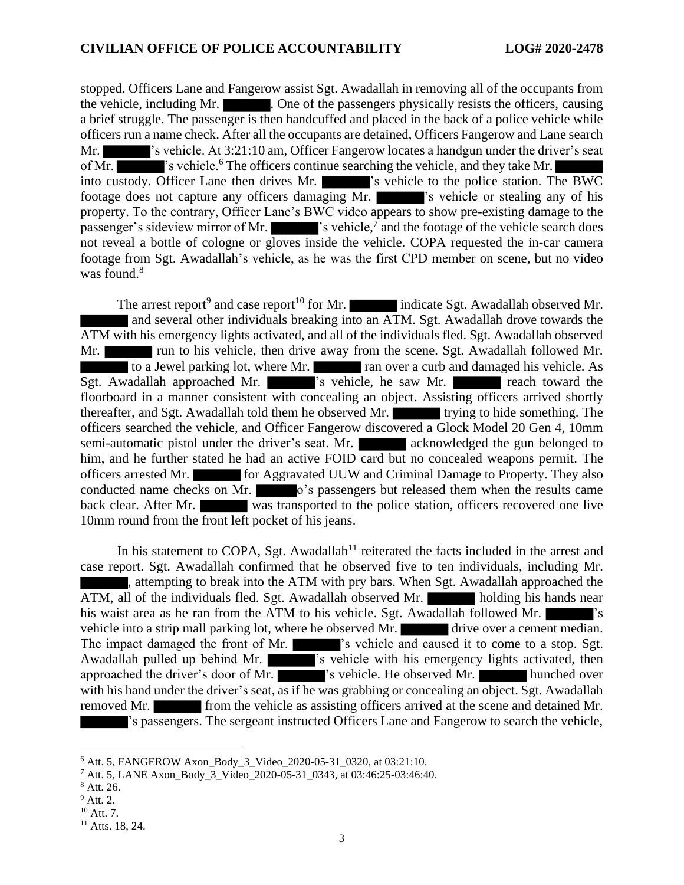stopped. Officers Lane and Fangerow assist Sgt. Awadallah in removing all of the occupants from the vehicle, including Mr.  $\blacksquare$ . One of the passengers physically resists the officers, causing a brief struggle. The passenger is then handcuffed and placed in the back of a police vehicle while officers run a name check. After all the occupants are detained, Officers Fangerow and Lane search Mr.  $\blacksquare$  's vehicle. At 3:21:10 am, Officer Fangerow locates a handgun under the driver's seat of Mr. 's vehicle.<sup>6</sup> The officers continue searching the vehicle, and they take Mr. into custody. Officer Lane then drives Mr.  $\blacksquare$  's vehicle to the police station. The BWC footage does not capture any officers damaging Mr. 's vehicle or stealing any of his property. To the contrary, Officer Lane's BWC video appears to show pre-existing damage to the passenger's sideview mirror of Mr.  $\blacksquare$  's vehicle,<sup>7</sup> and the footage of the vehicle search does not reveal a bottle of cologne or gloves inside the vehicle. COPA requested the in-car camera footage from Sgt. Awadallah's vehicle, as he was the first CPD member on scene, but no video was found.<sup>8</sup>

The arrest report<sup>9</sup> and case report<sup>10</sup> for Mr. indicate Sgt. Awadallah observed Mr. and several other individuals breaking into an ATM. Sgt. Awadallah drove towards the ATM with his emergency lights activated, and all of the individuals fled. Sgt. Awadallah observed Mr. The run to his vehicle, then drive away from the scene. Sgt. Awadallah followed Mr. to a Jewel parking lot, where Mr. ran over a curb and damaged his vehicle. As Sgt. Awadallah approached Mr.  $\blacksquare$  's vehicle, he saw Mr. reach toward the floorboard in a manner consistent with concealing an object. Assisting officers arrived shortly thereafter, and Sgt. Awadallah told them he observed Mr. **the study of the something.** The officers searched the vehicle, and Officer Fangerow discovered a Glock Model 20 Gen 4, 10mm semi-automatic pistol under the driver's seat. Mr. acknowledged the gun belonged to him, and he further stated he had an active FOID card but no concealed weapons permit. The officers arrested Mr. for Aggravated UUW and Criminal Damage to Property. They also conducted name checks on Mr. o's passengers but released them when the results came back clear. After Mr. was transported to the police station, officers recovered one live 10mm round from the front left pocket of his jeans.

In his statement to COPA, Sgt. Awadallah<sup>11</sup> reiterated the facts included in the arrest and case report. Sgt. Awadallah confirmed that he observed five to ten individuals, including Mr. , attempting to break into the ATM with pry bars. When Sgt. Awadallah approached the ATM, all of the individuals fled. Sgt. Awadallah observed Mr. holding his hands near his waist area as he ran from the ATM to his vehicle. Sgt. Awadallah followed Mr. vehicle into a strip mall parking lot, where he observed Mr. drive over a cement median. The impact damaged the front of Mr.  $\blacksquare$  's vehicle and caused it to come to a stop. Sgt. Awadallah pulled up behind Mr.  $\blacksquare$  's vehicle with his emergency lights activated, then approached the driver's door of Mr. "The vehicle. He observed Mr. "Thunched over with his hand under the driver's seat, as if he was grabbing or concealing an object. Sgt. Awadallah removed Mr. **from the vehicle as assisting officers arrived at the scene and detained Mr.** 's passengers. The sergeant instructed Officers Lane and Fangerow to search the vehicle,

<sup>&</sup>lt;sup>6</sup> Att. 5, FANGEROW Axon Body 3 Video 2020-05-31 0320, at 03:21:10.

<sup>7</sup> Att. 5, LANE Axon\_Body\_3\_Video\_2020-05-31\_0343, at 03:46:25-03:46:40.

<sup>8</sup> Att. 26.

<sup>9</sup> Att. 2.

<sup>10</sup> Att. 7.

<sup>&</sup>lt;sup>11</sup> Atts. 18, 24.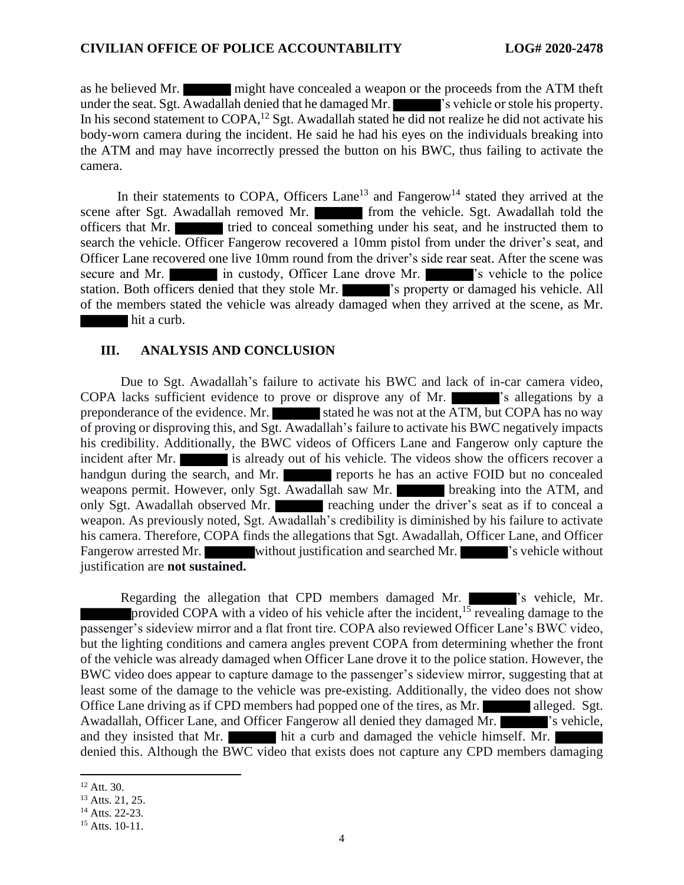as he believed Mr. might have concealed a weapon or the proceeds from the ATM theft under the seat. Sgt. Awadallah denied that he damaged Mr.  $\blacksquare$  's vehicle or stole his property. In his second statement to  $\text{COPA}$ ,<sup>12</sup> Sgt. Awadallah stated he did not realize he did not activate his body-worn camera during the incident. He said he had his eyes on the individuals breaking into the ATM and may have incorrectly pressed the button on his BWC, thus failing to activate the camera.

In their statements to COPA, Officers Lane<sup>13</sup> and Fangerow<sup>14</sup> stated they arrived at the scene after Sgt. Awadallah removed Mr. **From the vehicle.** Sgt. Awadallah told the officers that Mr. **tried to conceal something under his seat, and he instructed them to** search the vehicle. Officer Fangerow recovered a 10mm pistol from under the driver's seat, and Officer Lane recovered one live 10mm round from the driver's side rear seat. After the scene was secure and Mr. in custody, Officer Lane drove Mr.  $\blacksquare$  's vehicle to the police station. Both officers denied that they stole Mr.  $\blacksquare$  's property or damaged his vehicle. All of the members stated the vehicle was already damaged when they arrived at the scene, as Mr. hit a curb.

#### **III. ANALYSIS AND CONCLUSION**

Due to Sgt. Awadallah's failure to activate his BWC and lack of in-car camera video, COPA lacks sufficient evidence to prove or disprove any of Mr.  $\blacksquare$  's allegations by a preponderance of the evidence. Mr. stated he was not at the ATM, but COPA has no way of proving or disproving this, and Sgt. Awadallah's failure to activate his BWC negatively impacts his credibility. Additionally, the BWC videos of Officers Lane and Fangerow only capture the incident after Mr. is already out of his vehicle. The videos show the officers recover a handgun during the search, and Mr. reports he has an active FOID but no concealed weapons permit. However, only Sgt. Awadallah saw Mr. breaking into the ATM, and only Sgt. Awadallah observed Mr. reaching under the driver's seat as if to conceal a weapon. As previously noted, Sgt. Awadallah's credibility is diminished by his failure to activate his camera. Therefore, COPA finds the allegations that Sgt. Awadallah, Officer Lane, and Officer Fangerow arrested Mr. without justification and searched Mr.  $\blacksquare$  's vehicle without justification are **not sustained.**

Regarding the allegation that CPD members damaged Mr.  $\blacksquare$  's vehicle, Mr. provided COPA with a video of his vehicle after the incident, <sup>15</sup> revealing damage to the passenger's sideview mirror and a flat front tire. COPA also reviewed Officer Lane's BWC video, but the lighting conditions and camera angles prevent COPA from determining whether the front of the vehicle was already damaged when Officer Lane drove it to the police station. However, the BWC video does appear to capture damage to the passenger's sideview mirror, suggesting that at least some of the damage to the vehicle was pre-existing. Additionally, the video does not show Office Lane driving as if CPD members had popped one of the tires, as Mr. alleged. Sgt. Awadallah, Officer Lane, and Officer Fangerow all denied they damaged Mr.  $\blacksquare$  's vehicle, and they insisted that Mr. hit a curb and damaged the vehicle himself. Mr. denied this. Although the BWC video that exists does not capture any CPD members damaging

<sup>12</sup> Att. 30.

<sup>&</sup>lt;sup>13</sup> Atts. 21, 25.

<sup>14</sup> Atts. 22-23.

 $15$  Atts. 10-11.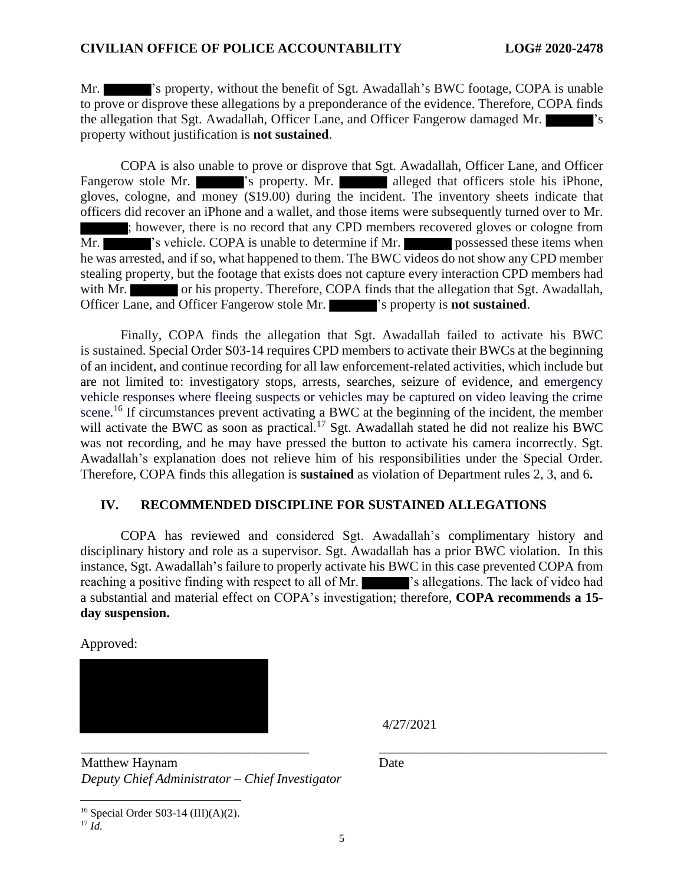Mr.  $\blacksquare$  's property, without the benefit of Sgt. Awadallah's BWC footage, COPA is unable to prove or disprove these allegations by a preponderance of the evidence. Therefore, COPA finds the allegation that Sgt. Awadallah, Officer Lane, and Officer Fangerow damaged Mr. property without justification is **not sustained**.

COPA is also unable to prove or disprove that Sgt. Awadallah, Officer Lane, and Officer Fangerow stole Mr.  $\blacksquare$  's property. Mr. alleged that officers stole his iPhone, gloves, cologne, and money (\$19.00) during the incident. The inventory sheets indicate that officers did recover an iPhone and a wallet, and those items were subsequently turned over to Mr. ; however, there is no record that any CPD members recovered gloves or cologne from Mr.  $\blacksquare$  's vehicle. COPA is unable to determine if Mr. possessed these items when he was arrested, and if so, what happened to them. The BWC videos do not show any CPD member stealing property, but the footage that exists does not capture every interaction CPD members had with Mr. or his property. Therefore, COPA finds that the allegation that Sgt. Awadallah, Officer Lane, and Officer Fangerow stole Mr. 's property is **not sustained**.

Finally, COPA finds the allegation that Sgt. Awadallah failed to activate his BWC is sustained. Special Order S03-14 requires CPD members to activate their BWCs at the beginning of an incident, and continue recording for all law enforcement-related activities, which include but are not limited to: investigatory stops, arrests, searches, seizure of evidence, and emergency vehicle responses where fleeing suspects or vehicles may be captured on video leaving the crime scene.<sup>16</sup> If circumstances prevent activating a BWC at the beginning of the incident, the member will activate the BWC as soon as practical.<sup>17</sup> Sgt. Awadallah stated he did not realize his BWC was not recording, and he may have pressed the button to activate his camera incorrectly. Sgt. Awadallah's explanation does not relieve him of his responsibilities under the Special Order. Therefore, COPA finds this allegation is **sustained** as violation of Department rules 2, 3, and 6**.**

## **IV. RECOMMENDED DISCIPLINE FOR SUSTAINED ALLEGATIONS**

COPA has reviewed and considered Sgt. Awadallah's complimentary history and disciplinary history and role as a supervisor. Sgt. Awadallah has a prior BWC violation. In this instance, Sgt. Awadallah's failure to properly activate his BWC in this case prevented COPA from reaching a positive finding with respect to all of Mr.  $\blacksquare$  's allegations. The lack of video had a substantial and material effect on COPA's investigation; therefore, **COPA recommends a 15 day suspension.**

Approved:



4/27/2021

\_\_\_\_\_\_\_\_\_\_\_\_\_\_\_\_\_\_\_\_\_\_\_\_\_\_\_\_\_\_\_\_\_\_ \_\_\_\_\_\_\_\_\_\_\_\_\_\_\_\_\_\_\_\_\_\_\_\_\_\_\_\_\_\_\_\_\_\_ Matthew Haynam *Deputy Chief Administrator – Chief Investigator*

Date

<sup>16</sup> Special Order S03-14 (III)(A)(2).  $^{17}$  *Id.*